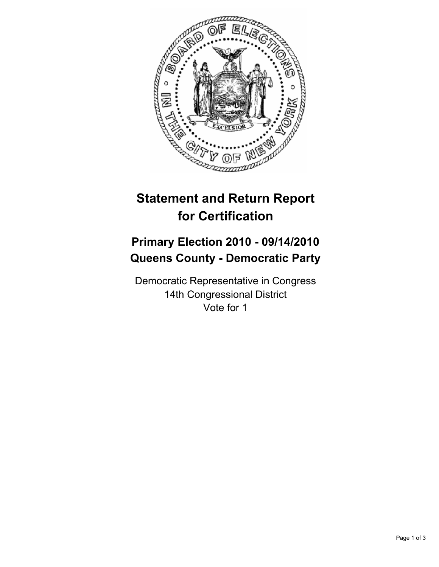

# **Statement and Return Report for Certification**

## **Primary Election 2010 - 09/14/2010 Queens County - Democratic Party**

Democratic Representative in Congress 14th Congressional District Vote for 1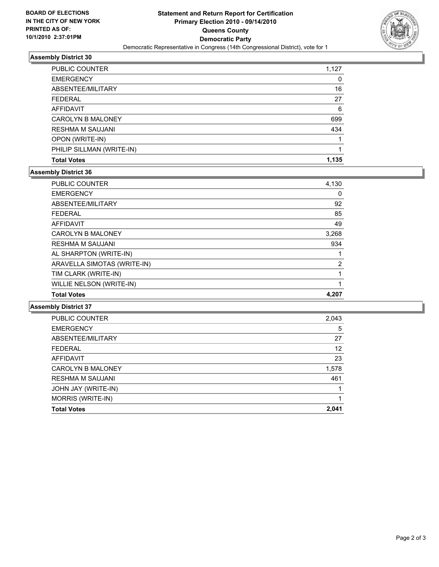

### **Assembly District 30**

| <b>EMERGENCY</b>          | 0     |
|---------------------------|-------|
| ABSENTEE/MILITARY         | 16    |
| <b>FEDERAL</b>            | 27    |
| AFFIDAVIT                 | 6     |
| <b>CAROLYN B MALONEY</b>  | 699   |
| <b>RESHMA M SAUJANI</b>   | 434   |
| OPON (WRITE-IN)           |       |
| PHILIP SILLMAN (WRITE-IN) |       |
| <b>Total Votes</b>        | 1.135 |

#### **Assembly District 36**

| <b>Total Votes</b>          | 4.207 |
|-----------------------------|-------|
| WILLIE NELSON (WRITE-IN)    | 1     |
| TIM CLARK (WRITE-IN)        | 1     |
| ARAVELLA SIMOTAS (WRITE-IN) | 2     |
| AL SHARPTON (WRITE-IN)      |       |
| <b>RESHMA M SAUJANI</b>     | 934   |
| <b>CAROLYN B MALONEY</b>    | 3,268 |
| <b>AFFIDAVIT</b>            | 49    |
| <b>FEDERAL</b>              | 85    |
| ABSENTEE/MILITARY           | 92    |
| <b>EMERGENCY</b>            | 0     |
| <b>PUBLIC COUNTER</b>       | 4,130 |

**Assembly District 37**

| <b>CAROLYN B MALONEY</b> | 1,578 |
|--------------------------|-------|
| <b>RESHMA M SAUJANI</b>  | 461   |
| JOHN JAY (WRITE-IN)      |       |
| MORRIS (WRITE-IN)        |       |
|                          |       |